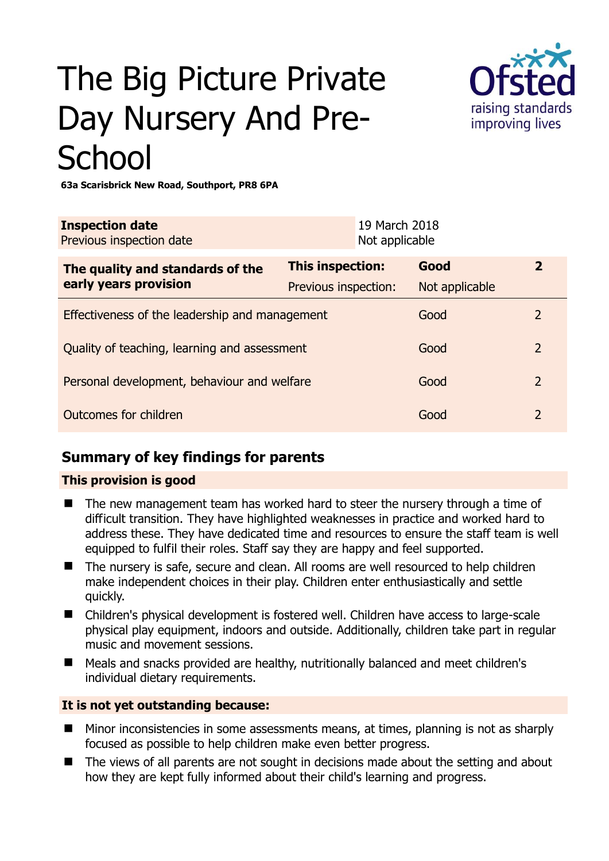# The Big Picture Private Day Nursery And Pre-**School**



**63a Scarisbrick New Road, Southport, PR8 6PA** 

| <b>Inspection date</b><br>Previous inspection date        | 19 March 2018<br>Not applicable |                |                |
|-----------------------------------------------------------|---------------------------------|----------------|----------------|
| The quality and standards of the<br>early years provision | <b>This inspection:</b>         | Good           | $\mathbf{2}$   |
|                                                           | Previous inspection:            | Not applicable |                |
| Effectiveness of the leadership and management            |                                 | Good           | 2              |
| Quality of teaching, learning and assessment              |                                 | Good           | $\overline{2}$ |
| Personal development, behaviour and welfare               |                                 | Good           | $\overline{2}$ |
| Outcomes for children                                     |                                 | Good           | $\overline{2}$ |

### **Summary of key findings for parents**

#### **This provision is good**

- The new management team has worked hard to steer the nursery through a time of difficult transition. They have highlighted weaknesses in practice and worked hard to address these. They have dedicated time and resources to ensure the staff team is well equipped to fulfil their roles. Staff say they are happy and feel supported.
- The nursery is safe, secure and clean. All rooms are well resourced to help children make independent choices in their play. Children enter enthusiastically and settle quickly.
- Children's physical development is fostered well. Children have access to large-scale physical play equipment, indoors and outside. Additionally, children take part in regular music and movement sessions.
- Meals and snacks provided are healthy, nutritionally balanced and meet children's individual dietary requirements.

#### **It is not yet outstanding because:**

- Minor inconsistencies in some assessments means, at times, planning is not as sharply focused as possible to help children make even better progress.
- The views of all parents are not sought in decisions made about the setting and about how they are kept fully informed about their child's learning and progress.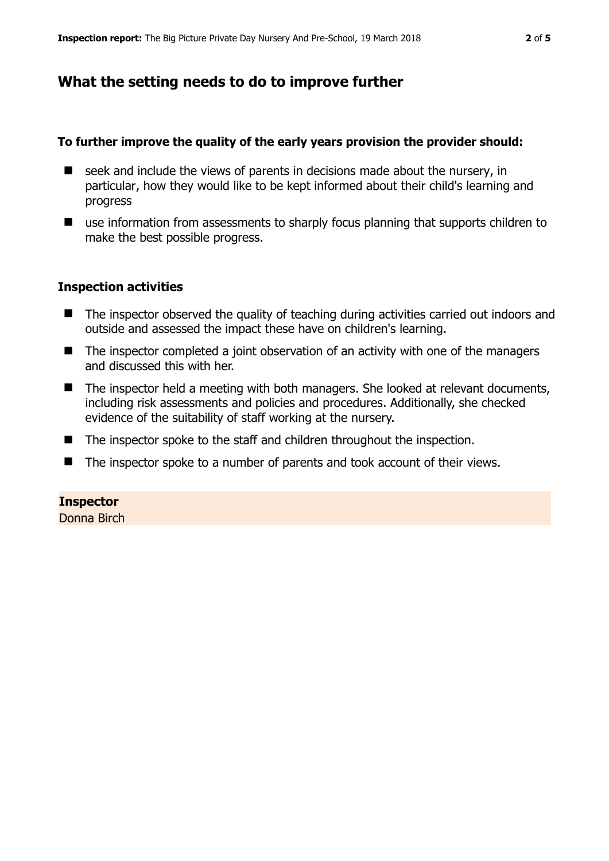## **What the setting needs to do to improve further**

#### **To further improve the quality of the early years provision the provider should:**

- $\blacksquare$  seek and include the views of parents in decisions made about the nursery, in particular, how they would like to be kept informed about their child's learning and progress
- use information from assessments to sharply focus planning that supports children to make the best possible progress.

#### **Inspection activities**

- The inspector observed the quality of teaching during activities carried out indoors and outside and assessed the impact these have on children's learning.
- The inspector completed a joint observation of an activity with one of the managers and discussed this with her.
- The inspector held a meeting with both managers. She looked at relevant documents, including risk assessments and policies and procedures. Additionally, she checked evidence of the suitability of staff working at the nursery.
- The inspector spoke to the staff and children throughout the inspection.
- The inspector spoke to a number of parents and took account of their views.

#### **Inspector**

Donna Birch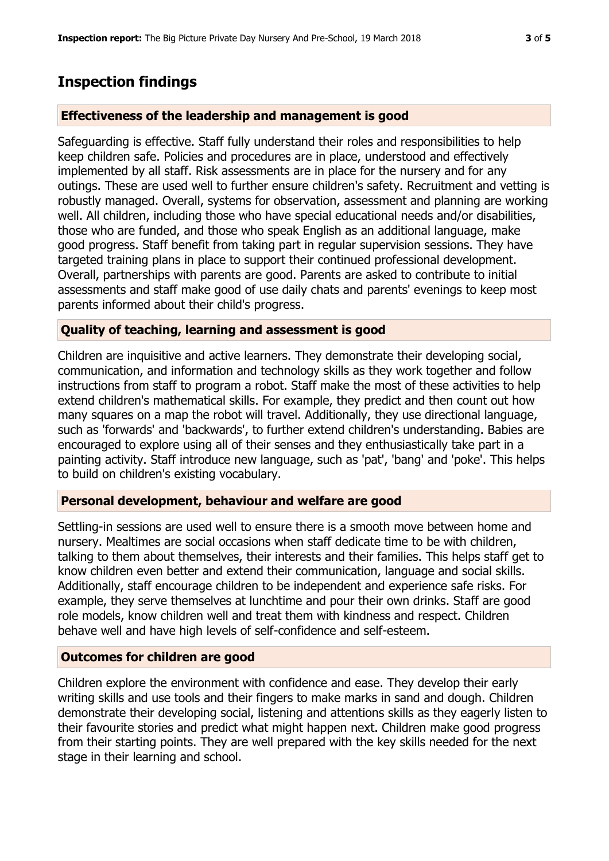## **Inspection findings**

#### **Effectiveness of the leadership and management is good**

Safeguarding is effective. Staff fully understand their roles and responsibilities to help keep children safe. Policies and procedures are in place, understood and effectively implemented by all staff. Risk assessments are in place for the nursery and for any outings. These are used well to further ensure children's safety. Recruitment and vetting is robustly managed. Overall, systems for observation, assessment and planning are working well. All children, including those who have special educational needs and/or disabilities, those who are funded, and those who speak English as an additional language, make good progress. Staff benefit from taking part in regular supervision sessions. They have targeted training plans in place to support their continued professional development. Overall, partnerships with parents are good. Parents are asked to contribute to initial assessments and staff make good of use daily chats and parents' evenings to keep most parents informed about their child's progress.

#### **Quality of teaching, learning and assessment is good**

Children are inquisitive and active learners. They demonstrate their developing social, communication, and information and technology skills as they work together and follow instructions from staff to program a robot. Staff make the most of these activities to help extend children's mathematical skills. For example, they predict and then count out how many squares on a map the robot will travel. Additionally, they use directional language, such as 'forwards' and 'backwards', to further extend children's understanding. Babies are encouraged to explore using all of their senses and they enthusiastically take part in a painting activity. Staff introduce new language, such as 'pat', 'bang' and 'poke'. This helps to build on children's existing vocabulary.

#### **Personal development, behaviour and welfare are good**

Settling-in sessions are used well to ensure there is a smooth move between home and nursery. Mealtimes are social occasions when staff dedicate time to be with children, talking to them about themselves, their interests and their families. This helps staff get to know children even better and extend their communication, language and social skills. Additionally, staff encourage children to be independent and experience safe risks. For example, they serve themselves at lunchtime and pour their own drinks. Staff are good role models, know children well and treat them with kindness and respect. Children behave well and have high levels of self-confidence and self-esteem.

#### **Outcomes for children are good**

Children explore the environment with confidence and ease. They develop their early writing skills and use tools and their fingers to make marks in sand and dough. Children demonstrate their developing social, listening and attentions skills as they eagerly listen to their favourite stories and predict what might happen next. Children make good progress from their starting points. They are well prepared with the key skills needed for the next stage in their learning and school.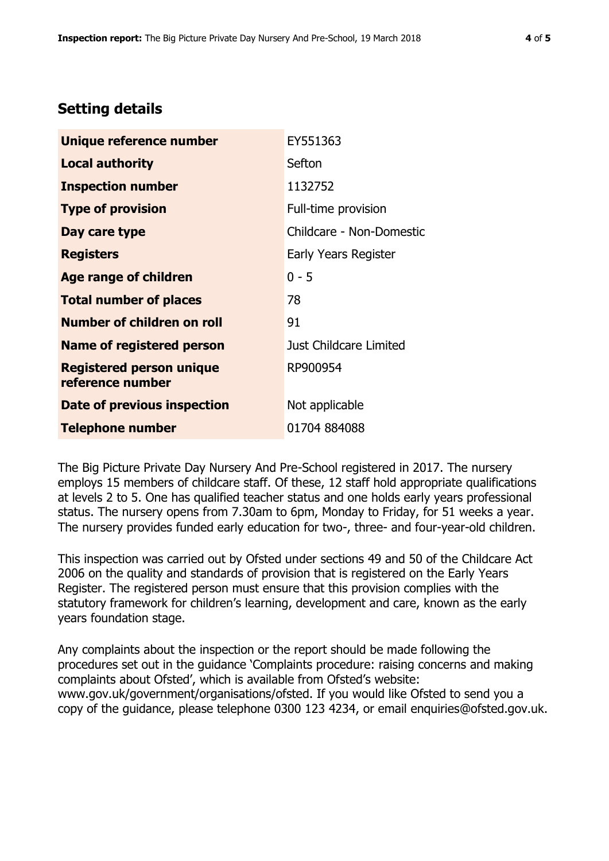# **Setting details**

| Unique reference number                             | EY551363                 |
|-----------------------------------------------------|--------------------------|
| <b>Local authority</b>                              | Sefton                   |
| <b>Inspection number</b>                            | 1132752                  |
| <b>Type of provision</b>                            | Full-time provision      |
| Day care type                                       | Childcare - Non-Domestic |
| <b>Registers</b>                                    | Early Years Register     |
| <b>Age range of children</b>                        | $0 - 5$                  |
| <b>Total number of places</b>                       | 78                       |
| <b>Number of children on roll</b>                   | 91                       |
| <b>Name of registered person</b>                    | Just Childcare Limited   |
| <b>Registered person unique</b><br>reference number | RP900954                 |
| Date of previous inspection                         | Not applicable           |
| <b>Telephone number</b>                             | 01704 884088             |

The Big Picture Private Day Nursery And Pre-School registered in 2017. The nursery employs 15 members of childcare staff. Of these, 12 staff hold appropriate qualifications at levels 2 to 5. One has qualified teacher status and one holds early years professional status. The nursery opens from 7.30am to 6pm, Monday to Friday, for 51 weeks a year. The nursery provides funded early education for two-, three- and four-year-old children.

This inspection was carried out by Ofsted under sections 49 and 50 of the Childcare Act 2006 on the quality and standards of provision that is registered on the Early Years Register. The registered person must ensure that this provision complies with the statutory framework for children's learning, development and care, known as the early years foundation stage.

Any complaints about the inspection or the report should be made following the procedures set out in the guidance 'Complaints procedure: raising concerns and making complaints about Ofsted', which is available from Ofsted's website: www.gov.uk/government/organisations/ofsted. If you would like Ofsted to send you a copy of the guidance, please telephone 0300 123 4234, or email enquiries@ofsted.gov.uk.